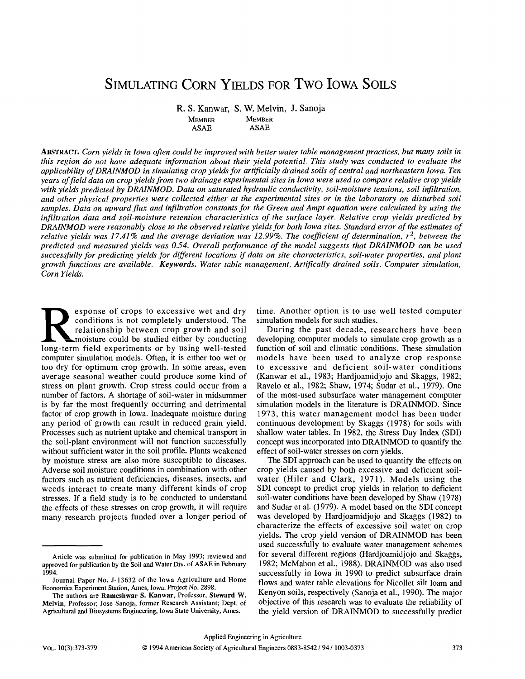# SIMULATING CORN YIELDS FOR TWO IOWA SOILS

R. S. Kanwar, S. W. Melvin, J. Sanoja<br>MEMBER MEMBER

MEMBER MEMBER<br>ASAE ASAE **ASAE** 

ABSTRACT. *Corn yields in Iowa often could be improved with better water table management practices, but many soils in this region do not have adequate information about their yield potential. This study was conducted to evaluate the applicability of DRAINMOD in simulating crop yields for artificially drained soils of central and northeastern Iowa. Ten years of field data on crop yields from two drainage experimental sites in Iowa were used to compare relative crop yields with yields predicted by DRAINMOD. Data on saturated hydraulic conductivity, soil-moisture tensions, soil infiltration, and other physical properties were collected either at the experimental sites or in the laboratory on disturbed soil samples. Data on upward flux and infiltration constants for the Green and Ampt equation were calculated by using the infiltration data and soil-moisture retention characteristics of the surface layer. Relative crop yields predicted by DRAINMOD were reasonably close to the observed relative yields for both Iowa sites. Standard error of the estimates of relative yields was 17.41% and the average deviation was 12.99%. The coefficient of determination, r<sup>2</sup>, between the predicted and measured yields was 0.54. Overall performance of the model suggests that DRAINMOD can be used successfully for predicting yields for different locations if data on site characteristics, soil-water properties, and plant growth functions are available. Keywords. Water table management, Artifically drained soils, Computer simulation, Corn Yields.* 

Exponse of crops to excessive wet and dry conditions is not completely understood. The relationship between crop growth and soil moisture could be studied either by conducting long-term field experiments or by using well-t esponse of crops to excessive wet and dry conditions is not completely understood. The relationship between crop growth and soil moisture could be studied either by conducting computer simulation models. Often, it is either too wet or too dry for optimum crop growth. In some areas, even average seasonal weather could produce some kind of stress on plant growth. Crop stress could occur from a number of factors. A shortage of soil-water in midsummer is by far the most frequently occurring and detrimental factor of crop growth in Iowa. Inadequate moisture during any period of growth can result in reduced grain yield. Processes such as nutrient uptake and chemical transport in the soil-plant environment will not function successfully without sufficient water in the soil profile. Plants weakened by moisture stress are also more susceptible to diseases. Adverse soil moisture conditions in combination with other factors such as nutrient deficiencies, diseases, insects, and weeds interact to create many different kinds of crop stresses. If a field study is to be conducted to understand the effects of these stresses on crop growth, it will require many research projects funded over a longer period of

time. Another option is to use well tested computer simulation models for such studies.

During the past decade, researchers have been developing computer models to simulate crop growth as a function of soil and climatic conditions. These simulation models have been used to analyze crop response to excessive and deficient soil-water conditions (Kanwar et al., 1983; Hardjoamidjojo and Skaggs, 1982; Ravelo et al., 1982; Shaw, 1974; Sudar et al., 1979). One of the most-used subsurface water management computer simulation models in the literature is DRAINMOD. Since 1973, this water management model has been under continuous development by Skaggs (1978) for soils with shallow water tables. In 1982, the Stress Day Index (SDI) concept was incorporated into DRAINMOD to quantify the effect of soil-water stresses on corn yields.

The SDI approach can be used to quantify the effects on crop yields caused by both excessive and deficient soilwater (Hiler and Clark, 1971). Models using the SDI concept to predict crop yields in relation to deficient soil-water conditions have been developed by Shaw (1978) and Sudar et al. (1979). A model based on the SDI concept was developed by Hardjoamidjojo and Skaggs (1982) to characterize the effects of excessive soil water on crop yields. The crop yield version of DRAINMOD has been used successfully to evaluate water management schemes for several different regions (Hardjoamidjojo and Skaggs, 1982; McMahon et al., 1988). DRAINMOD was also used successfully in Iowa in 1990 to predict subsurface drain flows and water table elevations for Nicollet silt loam and Kenyon soils, respectively (Sanoja et al., 1990). The major objective of this research was to evaluate the reliability of the yield version of DRAINMOD to successfully predict

Article was submitted for publication in May 1993; reviewed and approved for publication by the Soil and Water Div. of ASAE in February 1994.

Journal Paper No. J-13632 of the Iowa Agriculture and Home Economics Experiment Station, Ames, Iowa. Project No. 2898.

The authors are **Rameshwar S. Kanwar,** Professor, **Steward W. Melvin,** Professor; Jose Sanoja, former Research Assistant; Dept. of Agricultural and Biosystems Engineering, Iowa State University, Ames.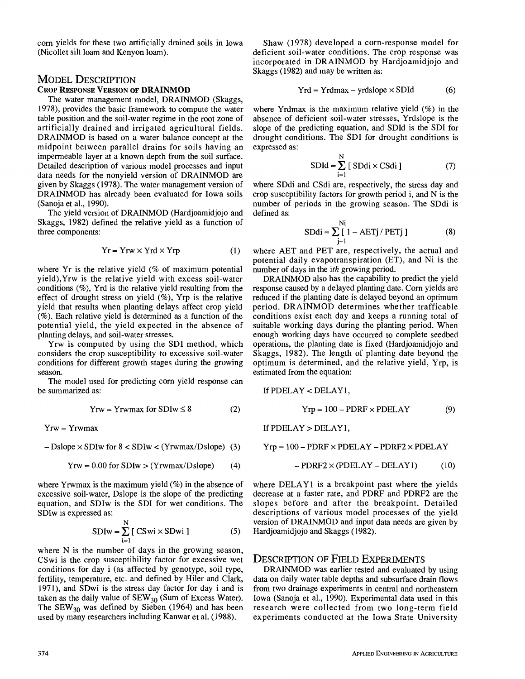corn yields for these two artificially drained soils in Iowa (Nicollet silt loam and Kenyon loam).

## MODEL DESCRIPTION

## CROP RESPONSE VERSION OF **DRAINMOD**

The water management model, DRAINMOD (Skaggs, 1978), provides the basic framework to compute the water table position and the soil-water regime in the root zone of artificially drained and irrigated agricultural fields. DRAINMOD is based on a water balance concept at the midpoint between parallel drains for soils having an impermeable layer at a known depth from the soil surface. Detailed description of various model processes and input data needs for the nonyield version of DRAINMOD are given by Skaggs (1978). The water management version of DRAINMOD has already been evaluated for Iowa soils (Sanojaetal., 1990).

The yield version of DRAINMOD (Hardjoamidjojo and Skaggs, 1982) defined the relative yield as a function of three components:

$$
Yr = Yrw \times Yrd \times Yrp
$$
 (1)

where Yr is the relative yield (% of maximum potential yield),Yrw is the relative yield with excess soil-water conditions (%), Yrd is the relative yield resulting from the effect of drought stress on yield (%), Yrp is the relative yield that results when planting delays affect crop yield (%). Each relative yield is determined as a function of the potential yield, the yield expected in the absence of planting delays, and soil-water stresses.

Yrw is computed by using the SDI method, which considers the crop susceptibility to excessive soil-water conditions for different growth stages during the growing season.

The model used for predicting corn yield response can be summarized as:

$$
Yrw = Yrwmax for SDIw \le 8
$$
 (2)

Yrw = Yrwmax

$$
- Dslope \times SDIw for 8 < SDIw < (Yrwmax/Dslope) (3)
$$

$$
Yrw = 0.00 for SDIw > (Yrwmax/Dslope)
$$
 (4)

where Yrwmax is the maximum yield  $(\%)$  in the absence of excessive soil-water, Dslope is the slope of the predicting equation, and SDIw is the SDI for wet conditions. The SDIw is expressed as:

$$
SDIw = \sum_{i=1}^{N} [CSwi \times SDwi]
$$
 (5)

where N is the number of days in the growing season, CSwi is the crop susceptibility factor for excessive wet conditions for day i (as affected by genotype, soil type, fertility, temperature, etc. and defined by Hiler and Clark, 1971), and SDwi is the stress day factor for day i and is taken as the daily value of  $SEW_{30}$  (Sum of Excess Water). The  $SEW_{30}$  was defined by Sieben (1964) and has been used by many researchers including Kanwar et al. (1988).

Shaw (1978) developed a corn-response model for deficient soil-water conditions. The crop response was incorporated in DRAINMOD by Hardjoamidjojo and Skaggs (1982) and may be written as:

$$
Yrd = Yrdmax - yrdslope \times SDId \tag{6}
$$

where Yrdmax is the maximum relative yield (%) in the absence of deficient soil-water stresses, Yrdslope is the slope of the predicting equation, and SDId is the SDI for drought conditions. The SDI for drought conditions is expressed as:

$$
SDId = \sum_{i=1}^{N} [SDdi \times CSdi ] \qquad (7)
$$

where SDdi and CSdi are, respectively, the stress day and crop susceptibility factors for growth period i, and N is the number of periods in the growing season. The SDdi is defined as:

$$
SDdi = \sum_{j=1}^{Ni} [1 - AETj / PETj]
$$
 (8)

where AET and PET are, respectively, the actual and potential daily evapotranspiration (ET), and Ni is the number of days in the *ith* growing period.

DRAINMOD also has the capability to predict the yield response caused by a delayed planting date. Corn yields are reduced if the planting date is delayed beyond an optimum period. DRAINMOD determines whether trafficable conditions exist each day and keeps a running total of suitable working days during the planting period. When enough working days have occurred to complete seedbed operations, the planting date is fixed (Hardjoamidjojo and Skaggs, 1982). The length of planting date beyond the optimum is determined, and the relative yield, Yrp, is estimated from the equation:

If PDELAY < DELAY1,

$$
Yrp = 100 - PDRF \times PDELAY \tag{9}
$$

If  $PDELAY > DELAY1$ ,

$$
Yrp = 100 - PDRF \times PDELAY - PDRF2 \times PDELAY
$$

$$
- PDRF2 \times (PDELAY - DELAY1) \tag{10}
$$

where  $DELAY1$  is a breakpoint past where the yields decrease at a faster rate, and PDRF and PDRF2 are the slopes before and after the breakpoint. Detailed descriptions of various model processes of the yield version of DRAINMOD and input data needs are given by Hardjoamidjojo and Skaggs (1982).

## DESCRIPTION OF FIELD EXPERIMENTS

DRAINMOD was earlier tested and evaluated by using data on daily water table depths and subsurface drain flows from two drainage experiments in central and northeastern Iowa (Sanoja et al., 1990). Experimental data used in this research were collected from two long-term field experiments conducted at the Iowa State University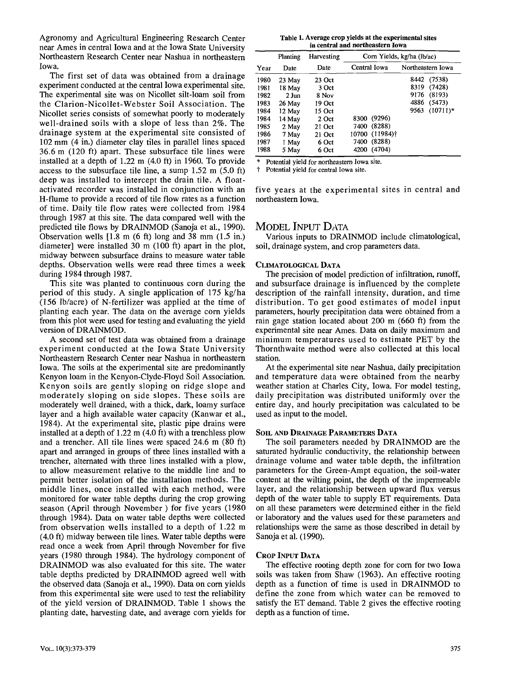Agronomy and Agricultural Engineering Research Center near Ames in central Iowa and at the Iowa State University Northeastern Research Center near Nashua in northeastern Iowa.

The first set of data was obtained from a drainage experiment conducted at the central Iowa experimental site. The experimental site was on Nicollet silt-loam soil from the Clarion-Nicollet-Webster Soil Association. The Nicollet series consists of somewhat poorly to moderately well-drained soils with a slope of less than 2%. The drainage system at the experimental site consisted of 102 mm (4 in.) diameter clay tiles in parallel lines spaced 36.6 m (120 ft) apart. These subsurface tile lines were installed at a depth of 1.22 m (4.0 ft) in 1960. To provide access to the subsurface tile line, a sump 1.52 m (5.0 ft) deep was installed to intercept the drain tile. A floatactivated recorder was installed in conjunction with an H-flume to provide a record of tile flow rates as a function of time. Daily tile flow rates were collected from 1984 through 1987 at this site. The data compared well with the predicted tile flows by DRAINMOD (Sanoja et al., 1990). Observation wells [1.8 m (6 ft) long and 38 mm (1.5 in.) diameter] were installed 30 m (100 ft) apart in the plot, midway between subsurface drains to measure water table depths. Observation wells were read three times a week during 1984 through 1987.

This site was planted to continuous corn during the period of this study. A single application of 175 kg/ha (156 lb/acre) of N-fertilizer was applied at the time of planting each year. The data on the average corn yields from this plot were used for testing and evaluating the yield version of DRAINMOD.

A second set of test data was obtained from a drainage experiment conducted at the Iowa State University Northeastern Research Center near Nashua in northeastern Iowa. The soils at the experimental site are predominantly Kenyon loam in the Kenyon-Clyde-Floyd Soil Association. Kenyon soils are gently sloping on ridge slope and moderately sloping on side slopes. These soils are moderately well drained, with a thick, dark, loamy surface layer and a high available water capacity (Kanwar et al., 1984). At the experimental site, plastic pipe drains were installed at a depth of 1.22 m (4.0 ft) with a trenchless plow and a trencher. All tile lines were spaced 24.6 m (80 ft) apart and arranged in groups of three lines installed with a trencher, alternated with three lines installed with a plow, to allow measurement relative to the middle line and to permit better isolation of the installation methods. The middle lines, once installed with each method, were monitored for water table depths during the crop growing season (April through November ) for five years (1980 through 1984). Data on water table depths were collected from observation wells installed to a depth of 1.22 m (4.0 ft) midway between tile lines. Water table depths were read once a week from April through November for five years (1980 through 1984). The hydrology component of DRAINMOD was also evaluated for this site. The water table depths predicted by DRAINMOD agreed well with the observed data (Sanoja et al., 1990). Data on corn yields from this experimental site were used to test the reliability of the yield version of DRAINMOD. Table 1 shows the planting date, harvesting date, and average corn yields for

**Table 1. Average crop yields at the experimental sites in central and northeastern Iowa** 

|      | Planting        | Harvesting |                | Corn Yields, kg/ha (lb/ac) |  |  |  |
|------|-----------------|------------|----------------|----------------------------|--|--|--|
| Year | Date            | Date       | Central Iowa   | Northeastern Iowa          |  |  |  |
| 1980 | 23 May          | $23$ Oct   |                | (7538)<br>8442             |  |  |  |
| 1981 | 18 May          | 3 Oct      |                | 8319<br>(7428)             |  |  |  |
| 1982 | $2 \text{ Jun}$ | 8 Nov      |                | 9176<br>(8193)             |  |  |  |
| 1983 | 26 May          | 19 Oct     |                | 4886<br>(5473)             |  |  |  |
| 1984 | 12 May          | 15 Oct     |                | $(10711)*$<br>9563         |  |  |  |
| 1984 | 14 May          | 2 Oct      | 8300 (9296)    |                            |  |  |  |
| 1985 | 2 May           | 21 Oct     | 7400 (8288)    |                            |  |  |  |
| 1986 | 7 May           | 21 Oct     | 10700 (11984)† |                            |  |  |  |
| 1987 | 1 May           | 6 Oct      | (8288)<br>7400 |                            |  |  |  |
| 1988 | 5 May           | 6 Oct      | (4704)<br>4200 |                            |  |  |  |

Potential yield for northeastern Iowa site.

t Potential yield for central Iowa site.

five years at the experimental sites in central and northeastern Iowa.

## MODEL INPUT DATA

Various inputs to DRAINMOD include climatological, soil, drainage system, and crop parameters data.

#### CLIMATOLOGICAL DATA

The precision of model prediction of infiltration, runoff, and subsurface drainage is influenced by the complete description of the rainfall intensity, duration, and time distribution. To get good estimates of model input parameters, hourly precipitation data were obtained from a rain gage station located about 200 m (660 ft) from the experimental site near Ames. Data on daily maximum and minimum temperatures used to estimate PET by the Thornthwaite method were also collected at this local station.

At the experimental site near Nashua, daily precipitation and temperature data were obtained from the nearby weather station at Charles City, Iowa. For model testing, daily precipitation was distributed uniformly over the entire day, and hourly precipitation was calculated to be used as input to the model.

#### SOIL AND DRAINAGE PARAMETERS DATA

The soil parameters needed by DRAINMOD are the saturated hydraulic conductivity, the relationship between drainage volume and water table depth, the infiltration parameters for the Green-Ampt equation, the soil-water content at the wilting point, the depth of the impermeable layer, and the relationship between upward flux versus depth of the water table to supply ET requirements. Data on all these parameters were determined either in the field or laboratory and the values used for these parameters and relationships were the same as those described in detail by Sanoja et al. (1990).

#### CROP INPUT DATA

The effective rooting depth zone for corn for two Iowa soils was taken from Shaw (1963). An effective rooting depth as a function of time is used in DRAINMOD to define the zone from which water can be removed to satisfy the ET demand. Table 2 gives the effective rooting depth as a function of time.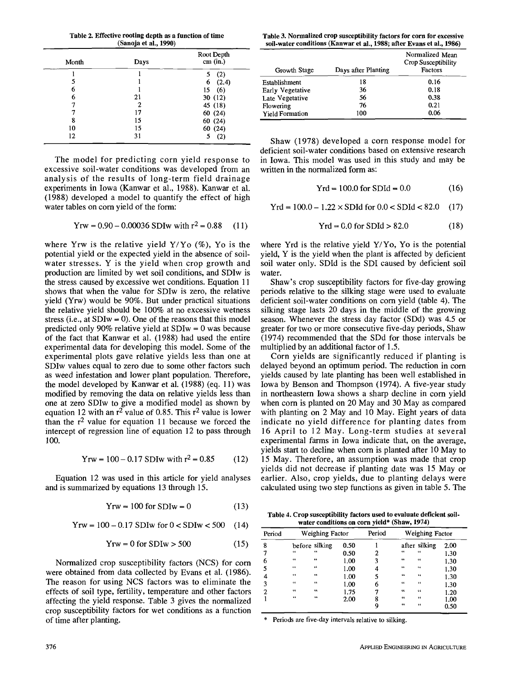**Table 2. Effective rooting depth as a function of time (Sanoja et al., 1990)** 

| Month | Days | Root Depth<br>cm (in.) |  |
|-------|------|------------------------|--|
|       |      | (2)<br>5               |  |
| 5     |      | (2.4)<br>6             |  |
| 6     |      | (6)<br>15              |  |
| 6     | 21   | 30(12)                 |  |
|       | 2    | 45 (18)                |  |
|       | 17   | 60(24)                 |  |
| 8     | 15   | 60(24)                 |  |
| 10    | 15   | 60(24)                 |  |
| 12    | 31   | (2)                    |  |

The model for predicting corn yield response to excessive soil-water conditions was developed from an analysis of the results of long-term field drainage experiments in Iowa (Kanwar et al., 1988). Kanwar et al. (1988) developed a model to quantify the effect of high water tables on corn yield of the form:

$$
Yrw = 0.90 - 0.00036 SDIw with r2 = 0.88
$$
 (11)

where Yrw is the relative yield  $Y/Y_0$  (%), Yo is the potential yield or the expected yield in the absence of soilwater stresses. Y is the yield when crop growth and production are limited by wet soil conditions, and SDIw is the stress caused by excessive wet conditions. Equation 11 shows that when the value for SDIw is zero, the relative yield (Yrw) would be 90%. But under practical situations the relative yield should be 100% at no excessive wetness stress (i.e., at  $SDIw = 0$ ). One of the reasons that this model predicted only 90% relative yield at SDIw = 0 was because of the fact that Kanwar et al. (1988) had used the entire experimental data for developing this model. Some of the experimental plots gave relative yields less than one at SDIw values equal to zero due to some other factors such as weed infestation and lower plant population. Therefore, the model developed by Kanwar et al. (1988) (eq. 11) was modified by removing the data on relative yields less than one at zero SDIw to give a modified model as shown by equation 12 with an  $r^2$  value of 0.85. This  $r^2$  value is lower than the  $r^2$  value for equation 11 because we forced the intercept of regression line of equation 12 to pass through 100.

$$
Yrw = 100 - 0.17 SDIw with r2 = 0.85
$$
 (12)

Equation 12 was used in this article for yield analyses and is summarized by equations 13 through 15.

$$
Yrw = 100 \text{ for SDI}w = 0 \tag{13}
$$

Yrw =  $100 - 0.17$  SDIw for  $0 <$  SDIw  $< 500$  (14)

$$
Yrw = 0 for SDIw > 500 \tag{15}
$$

Normalized crop susceptibility factors (NCS) for corn were obtained from data collected by Evans et al. (1986). The reason for using NCS factors was to eliminate the effects of soil type, fertility, temperature and other factors affecting the yield response. Table 3 gives the normalized crop susceptibility factors for wet conditions as a function of time after planting.

**Table 3. Normalized crop susceptibility factors for corn for excessive soil-water conditions (Kanwar et al., 1988; after Evans et al., 1986)** 

| Growth Stage           | Days after Planting | Normalized Mean<br>Crop Susceptibility<br>Factors |
|------------------------|---------------------|---------------------------------------------------|
| Establishment          | 18                  | 0.16                                              |
| Early Vegetative       | 36                  | 0.18                                              |
| Late Vegetative        | 56                  | 0.38                                              |
| Flowering              | 76                  | 0.21                                              |
| <b>Yield Formation</b> | 100                 | 0.06                                              |

Shaw (1978) developed a corn response model for deficient soil-water conditions based on extensive research in Iowa. This model was used in this study and may be written in the normalized form as:

$$
Yrd = 100.0 \text{ for SDId} = 0.0 \tag{16}
$$

 $Yrd = 100.0 - 1.22 \times SDId$  for  $0.0 < SDId < 82.0$  (17)

$$
Yrd = 0.0 \text{ for SDId} > 82.0 \tag{18}
$$

where Yrd is the relative yield Y/Yo, Yo is the potential yield, Y is the yield when the plant is affected by deficient soil water only. SDId is the SDI caused by deficient soil water.

Shaw's crop susceptibility factors for five-day growing periods relative to the silking stage were used to evaluate deficient soil-water conditions on corn yield (table 4). The silking stage lasts 20 days in the middle of the growing season. Whenever the stress day factor (SDd) was 4.5 or greater for two or more consecutive five-day periods, Shaw (1974) recommended that the SDd for those intervals be multiplied by an additional factor of 1.5.

Corn yields are significantly reduced if planting is delayed beyond an optimum period. The reduction in corn yields caused by late planting has been well established in Iowa by Benson and Thompson (1974). A five-year study in northeastern Iowa shows a sharp decline in corn yield when corn is planted on 20 May and 30 May as compared with planting on 2 May and 10 May. Eight years of data indicate no yield difference for planting dates from 16 April to 12 May. Long-term studies at several experimental farms in Iowa indicate that, on the average, yields start to decline when corn is planted after 10 May to 15 May. Therefore, an assumption was made that crop yields did not decrease if planting date was 15 May or earlier. Also, crop yields, due to planting delays were calculated using two step functions as given in table 5. The

**Table 4. Crop susceptibility factors used to evaluate deficient soilwater conditions on corn yield\* (Shaw, 1974)** 

| Period |         | Weighing Factor |      | Period | Weighing Factor |               |      |
|--------|---------|-----------------|------|--------|-----------------|---------------|------|
| 8      |         | before silking  | 0.50 |        |                 | after silking | 2.00 |
|        | 44      | 44              | 0.50 | 2      | 66              | 44            | 1.30 |
| 6      | 66      | 66              | 1.00 | 3      | 66              | 66            | 1.30 |
| 5      | $^{44}$ | $^{66}$         | 1.00 | 4      | 46              | 66            | 1.30 |
| 4      | 44      | 44              | 1.00 | 5      | $^{44}$         | 66            | 1.30 |
| 3      | 66      | 44              | 1.00 | 6      | 66              | 66            | 1.30 |
| 2      | 44      | 44              | 1.75 | 7      | 44              | 66            | 1.20 |
|        | 66      | 66              | 2.00 | 8      | 66              | 66            | 1.00 |
|        |         |                 |      | 9      | 44              | 66            | 0.50 |

Periods are five-day intervals relative to silking.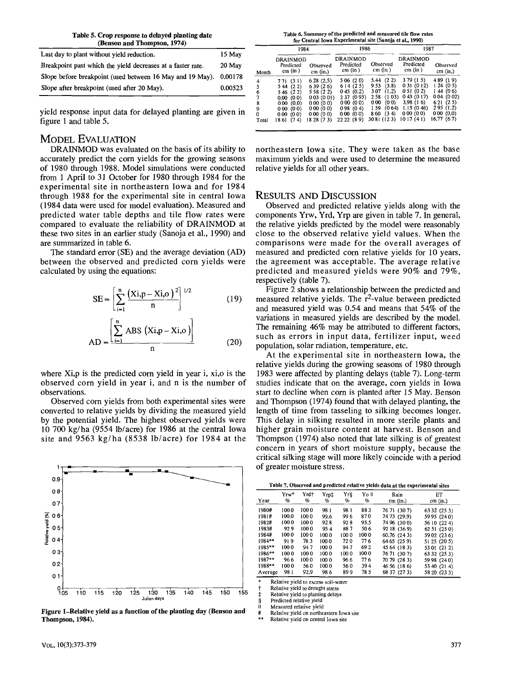| Table 5. Crop response to delayed planting date |  |
|-------------------------------------------------|--|
| (Benson and Thompson, 1974)                     |  |

| Last day to plant without yield reduction.                        | 15 May  |
|-------------------------------------------------------------------|---------|
| Breakpoint past which the yield decreases at a faster rate.       | 20 May  |
| Slope before breakpoint (used between 16 May and 19 May). 0.00178 |         |
| Slope after breakpoint (used after 20 May).                       | 0.00523 |

yield response input data for delayed planting are given in figure 1 and table 5.

## MODEL EVALUATION

DRAINMOD was evaluated on the basis of its ability to accurately predict the com yields for the growing seasons of 1980 through 1988. Model simulations were conducted from 1 April to 31 October for 1980 through 1984 for the experimental site in northeastern Iowa and for 1984 through 1988 for the experimental site in central Iowa (1984 data were used for model evaluation). Measured and predicted water table depths and tile flow rates were compared to evaluate the reliability of DRAINMOD at these two sites in an earlier study (Sanoja et al., 1990) and are summarized in table 6.

The standard error (SE) and the average deviation (AD) between the observed and predicted corn yields were calculated by using the equations:

$$
SE = \left[\sum_{i=1}^{n} \frac{(Xi, p - Xi, o)^2}{n}\right]^{1/2}
$$
 (19)

$$
AD = \frac{\left[\sum_{i=1}^{n} ABS (Xi, p -Xi, o)\right]}{n}
$$
 (20)

where Xi,p is the predicted corn yield in year i, xi,o is the observed corn yield in year i, and n is the number of observations.

Observed com yields from both experimental sites were converted to relative yields by dividing the measured yield by the potential yield. The highest observed yields were 10 700 kg/ha (9554 lb/acre) for 1986 at the central Iowa site and 9563 kg/ha (8538 lb/acre) for 1984 at the



**Figure I-Relative yield as a function of the planting day (Benson and Thompson, 1984).** 

Table 6. Summary of the predicted and measured tile flow rates **for Central Iowa Experimental site (Sanoja et al., 1990)** 

|             | 1984                             |                      | 1986                                      |                        | 1987                             |                        |  |
|-------------|----------------------------------|----------------------|-------------------------------------------|------------------------|----------------------------------|------------------------|--|
| Month       | DRAINMOD<br>Predicted<br>cm (in) | Observed<br>cm (in.) | <b>DRAINMOD</b><br>Predicted<br>$cm$ (in) | Observed<br>$cm$ (in ) | DRAINMOD<br>Predicted<br>cm (in) | Observed<br>$cm$ (in.) |  |
| 4           | 771 (31)                         | 628(2.5)             | 5 06 (20)                                 | 5.44 (2.2)             | 3 79 (1 5)                       | 489 (19)               |  |
|             | 5 44 (22)                        | 639(26)              | 614(25)                                   | (3.8)<br>9 53          | 0 31 (0 12)                      | $1,24$ (0.5)           |  |
| 6           | 5 46 (2 2)                       | 5 58 (2 2)           | 0.45(0.2)                                 | (1.2)<br>307           | 0.51(0.2)                        | 144(06)                |  |
| 7           | 0.00(00)                         | 003(001)             | 2 37 (0 95)                               | (103)<br>2.58          | 043(017)                         | 0.04(0.02)             |  |
| 8           | 000(0.0)                         | 000(00)              | 000(00)                                   | (00)<br>000            | 3.98(16)                         | 621(25)                |  |
| 9           | 000(00)                          | 000(00)              | 0.98(0.4)                                 | (0.64)<br>159          | 1.15(0.46)                       | 295(1.2)               |  |
| $\mathbf 0$ | 000(00)                          | 000(00)              | 000(00)                                   | 8 60 (3 4)             | 000(00)                          | 000(0.0)               |  |
| Total       | 1861 (74)                        | 18 28 (7 3)          | 22 22 (89)                                | 30 81 (12 3)           | 1017(41)                         | 16.77 (6.7)            |  |

northeastern Iowa site. They were taken as the base maximum yields and were used to determine the measured relative yields for all other years.

## RESULTS AND DISCUSSION

Observed and predicted relative yields along with the components Yrw, Yrd, Yrp are given in table 7. In general, the relative yields predicted by the model were reasonably close to the observed relative yield values. When the comparisons were made for the overall averages of measured and predicted com relative yields for 10 years, the agreement was acceptable. The average relative predicted and measured yields were 90% and 79%, respectively (table 7).

Figure 2 shows a relationship between the predicted and measured relative yields. The r<sup>2</sup>-value between predicted and measured yield was 0.54 and means that 54% of the variations in measured yields are described by the model. The remaining 46% may be attributed to different factors, such as errors in input data, fertilizer input, weed population, solar radiation, temperature, etc.

At the experimental site in northeastern Iowa, the relative yields during the growing seasons of 1980 through 1983 were affected by planting delays (table 7). Long-term studies indicate that on the average, com yields in Iowa start to decline when com is planted after 15 May. Benson and Thompson (1974) found that with delayed planting, the length of time from tasseling to silking becomes longer. This delay in silking resulted in more sterile plants and higher grain moisture content at harvest. Benson and Thompson (1974) also noted that late silking is of greatest concern in years of short moisture supply, because the critical silking stage will more likely coincide with a period of greater moisture stress.

| Table 7. Observed and predicted relative yields data at the experimental sites |
|--------------------------------------------------------------------------------|
|--------------------------------------------------------------------------------|

| Year     | Yrw*  | Yrd† | Yrp‡ | Yr§  | Yo II | Rain         | ЕT           |
|----------|-------|------|------|------|-------|--------------|--------------|
|          | %     | %    | %    | %    | %     | $cm$ (in.)   | $cm$ (in.)   |
| 1980#    | 1000  | 1000 | 981  | 981  | 883   | 76 71 (30 7) | 63 32 (25 3) |
| 1981#    | 100.0 | 1000 | 99.6 | 996  | 870   | 74 73 (29.9) | 59 95 (240)  |
| 1982#    | 1000  | 1000 | 928  | 928  | 95.5  | 74 96 (300)  | 56 10 (22.4) |
| 1983#    | 929   | 1000 | 954  | 887  | 506   | 92 18 (36 9) | 62 51 (250)  |
| 1984#    | 1000  | 1000 | 1000 | 1000 | 100 0 | 60.76 (243)  | 59 02 (23 6) |
| $1984**$ | 919   | 783  | 1000 | 720  | 77 6  | 64 65 (25 9) | 51 25 (20 5) |
| $1985**$ | 1000  | 947  | 1000 | 947  | 692   | 45 64 (183)  | 53 01 (21 2) |
| 1986**   | 1000  | 1000 | 1000 | 1000 | 1000  | 76 71 (30 7) | 63 32 (25 3) |
| $1987**$ | 966   | 1000 | 1000 | 966  | 776   | 70 79 (28 3) | 59 98 (240)  |
| 1988**   | 1000  | 560  | 1000 | 560  | 394   | 46 56 (18 6) | 53 40 (21 4) |
| Average  | 981   | 92.9 | 986  | 899  | 785   | 68 37 (27 3) | 58 20 (23 3) |

Relative yield to excess soil-water

Relative yield to drought stress Relative yield to planting delays

Predicted relative yield

Measured relative yield

Relative yield on northeastern Iowa site

Relative yield on central Iowa site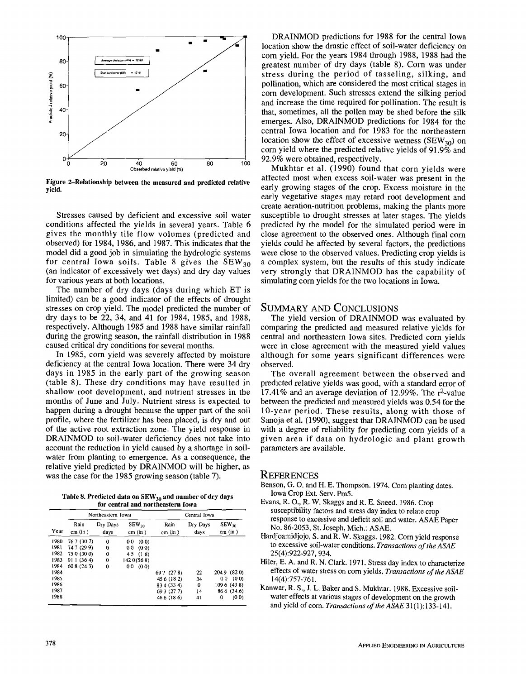

Figure 2-Relationship between the measured and predicted relative yield.

Stresses caused by deficient and excessive soil water conditions affected the yields in several years. Table 6 gives the monthly tile flow volumes (predicted and observed) for 1984, 1986, and 1987. This indicates that the model did a good job in simulating the hydrologic systems for central Iowa soils. Table 8 gives the  $SEW_{30}$ (an indicator of excessively wet days) and dry day values for various years at both locations.

The number of dry days (days during which ET is limited) can be a good indicator of the effects of drought stresses on crop yield. The model predicted the number of dry days to be 22, 34, and 41 for 1984, 1985, and 1988, respectively. Although 1985 and 1988 have similar rainfall during the growing season, the rainfall distribution in 1988 caused critical dry conditions for several months.

In 1985, corn yield was severely affected by moisture deficiency at the central Iowa location. There were 34 dry days in 1985 in the early part of the growing season (table 8). These dry conditions may have resulted in shallow root development, and nutrient stresses in the months of June and July. Nutrient stress is expected to happen during a drought because the upper part of the soil profile, where the fertilizer has been placed, is dry and out of the active root extraction zone. The yield response in DRAINMOD to soil-water deficiency does not take into account the reduction in yield caused by a shortage in soilwater from planting to emergence. As a consequence, the relative yield predicted by DRAINMOD will be higher, as was the case for the 1985 growing season (table 7).

Table 8. Predicted data on  $SEW_{30}$  and number of dry days for central and northeastern Iowa

|      |                 | Northeastern Iowa |                       | Central Iowa      |                  |                        |  |
|------|-----------------|-------------------|-----------------------|-------------------|------------------|------------------------|--|
| Year | Rain<br>cm (in) | Dry Days<br>days  | $SEW_{30}$<br>cm (in) | Rain<br>$cm$ (in) | Dry Days<br>days | $SEW_{30}$<br>cm (in)  |  |
| 1980 | 76 7 (30 7)     | 0                 | (00)<br>00            |                   |                  |                        |  |
| 1981 | 747 (299)       | $^{\circ}$        | 00<br>(00)            |                   |                  |                        |  |
| 1982 | 75 0 (30 0)     | 0                 | 45 (18)               |                   |                  |                        |  |
| 1983 | 91 1 (36 4)     | $\Omega$          | 142 0 (568)           |                   |                  |                        |  |
| 1984 | 60 8 (24 3)     | 0                 | 00<br>(00)            |                   |                  |                        |  |
| 1984 |                 |                   |                       | 69 7 (278)        | 22               | 2049 (820)             |  |
| 1985 |                 |                   |                       | 45 6 (182)        | 34               | 0 <sub>0</sub><br>(00) |  |
| 1986 |                 |                   |                       | 83 4 (33 4)       | 0                | 1096 (438)             |  |
| 1987 |                 |                   |                       | 69 3 (27 7)       | 14               | 86 6 (34.6)            |  |
| 1988 |                 |                   |                       | 46 6 (18 6)       | 41               | (00)<br>0              |  |

DRAINMOD predictions for 1988 for the central Iowa location show the drastic effect of soil-water deficiency on corn yield. For the years 1984 through 1988, 1988 had the greatest number of dry days (table 8). Corn was under stress during the period of tasseling, silking, and pollination, which are considered the most critical stages in corn development. Such stresses extend the silking period and increase the time required for pollination. The result is that, sometimes, all the pollen may be shed before the silk emerges. Also, DRAINMOD predictions for 1984 for the central Iowa location and for 1983 for the northeastern location show the effect of excessive wetness (SEW<sub>30</sub>) on corn yield where the predicted relative yields of 91.9% and 92.9% were obtained, respectively.

Mukhtar et al. (1990) found that corn yields were affected most when excess soil-water was present in the early growing stages of the crop. Excess moisture in the early vegetative stages may retard root development and create aeration-nutrition problems, making the plants more susceptible to drought stresses at later stages. The yields predicted by the model for the simulated period were in close agreement to the observed ones. Although final corn yields could be affected by several factors, the predictions were close to the observed values. Predicting crop yields is a complex system, but the results of this study indicate very strongly that DRAINMOD has the capability of simulating corn yields for the two locations in Iowa.

## SUMMARY AND CONCLUSIONS

The yield version of DRAINMOD was evaluated by comparing the predicted and measured relative yields for central and northeastern Iowa sites. Predicted corn yields were in close agreement with the measured yield values although for some years significant differences were observed.

The overall agreement between the observed and predicted relative yields was good, with a standard error of  $17.41\%$  and an average deviation of 12.99%. The  $r^2$ -value between the predicted and measured yields was 0.54 for the 10-year period. These results, along with those of Sanoja et al. (1990), suggest that DRAINMOD can be used with a degree of reliability for predicting corn yields of a given area if data on hydrologic and plant growth parameters are available.

#### **REFERENCES**

- Benson, G. O. and H. E. Thompson. 1974. Corn planting dates. Iowa Crop Ext. Serv. Pm5.
- Evans, R. O., R. W. Skaggs and R. E. Sneed. 1986. Crop susceptibility factors and stress day index to relate crop response to excessive and deficit soil and water. ASAE Paper No. 86-2053, St. Joseph, Mich.: ASAE.
- Hardjoamidjojo, S. and R. W. Skaggs. 1982. Corn yield response to excessive soil-water conditions. *Transactions of the ASAE*  25(4):922-927, 934.
- Hiler, E. A. and R. N. Clark. 1971. Stress day index to characterize effects of water stress on corn yields. *Transactions of the ASAE*  14(4):757-761.
- Kanwar, R. S., J. L. Baker and S. Mukhtar. 1988. Excessive soilwater effects at various stages of development on the growth and yield of corn. Transactions of the ASAE 31(1):133-141.